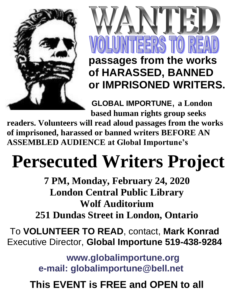



**of HARASSED, BANNED or IMPRISONED WRITERS.**

**[GLOBAL IMPORTUNE](http://www.globalimportune.org/)**, **a London based human rights group seeks** 

**readers. Volunteers will read aloud passages from the works of imprisoned, harassed or banned writers BEFORE AN ASSEMBLED AUDIENCE at Global Importune's**

# **Persecuted Writers Project**

**7 PM, Monday, February 24, 2020 London Central Public Library Wolf Auditorium**

**251 Dundas Street in London, Ontario** 

To **VOLUNTEER TO READ**, contact, **Mark Konrad** Executive Director, **[Global Importune](http://www.globalimportune/) 519-438-9284**

> **[www.globalimportune.org](http://www.globalimportune.org/) [e-mail: globalimportune@bell.net](mailto:%20%20%20%20%20%20%20%20%20%20%20%20%20%20%20%20%20%20%20%20%20%20%20%20%20%20%20e-mail:%20globalimportune@bell.net)**

**This EVENT is FREE and OPEN to all**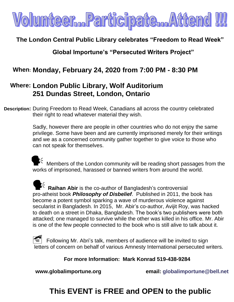

#### **The London Central Public Library celebrates "Freedom to Read Week"**

#### **Global Importune's "Persecuted Writers Project"**

#### **When: Monday, February 24, 2020 from 7:00 PM - 8:30 PM**

#### **Where: London Public Library, Wolf Auditorium 251 Dundas Street, London, Ontario**

**Description:** During Freedom to Read Week, Canadians all across the country celebrated their right to read whatever material they wish.

> Sadly, however there are people in other countries who do not enjoy the same privilege. Some have been and are currently imprisoned merely for their writings and we as a concerned community gather together to give voice to those who can not speak for themselves.

Members of the London community will be reading short passages from the works of imprisoned, harassed or banned writers from around the world.

**Raihan Abir** is the co-author of Bangladesh's controversial pro-atheist book *Philosophy of Disbelief*. Published in 2011, the book has become a potent symbol sparking a wave of murderous violence against secularist in Bangladesh. In 2015, Mr. Abir's co-author, Avijit Roy, was [hacked](https://www.theguardian.com/world/2015/feb/27/american-atheist-blogger-hacked-to-death-in-bangladesh)  [to death](https://www.theguardian.com/world/2015/feb/27/american-atheist-blogger-hacked-to-death-in-bangladesh) on a street in Dhaka, Bangladesh. [The book's two publishers were both](https://www.theguardian.com/world/2015/oct/31/faisal-abedin-deepan-bangladesh-secular-publisher-hacked-to-death)  [attacked;](https://www.theguardian.com/world/2015/oct/31/faisal-abedin-deepan-bangladesh-secular-publisher-hacked-to-death) one managed to survive while the other was killed in his office. Mr. Abir is one of the few people connected to the book who is still alive to talk about it.

 $\leq$  Following Mr. Abri's talk, members of audience will be invited to sign letters of concern on behalf of various Amnesty International persecuted writers.

 **For more Information: Mark Konrad 519-438-9284**

**www.globalimportune.org email: [globalimportune@bell.net](mailto:globalimportune@bell.net)** 

### **This EVENT is FREE and OPEN to the public**